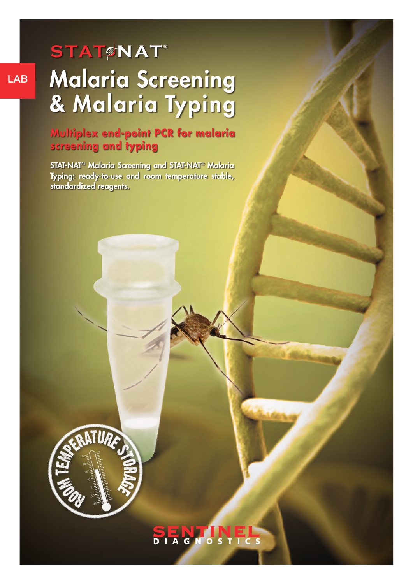# LAB Malaria Screening & Malaria Typing **STAT NAT ®**  $STAT$ **NAT**

## **Multiplex end-point PCR for malaria screening and typing**

STAT-NAT® Malaria Screening and STAT-NAT® Malaria STAT-NAT® Malaria Screening and STAT-NAT® Malaria<br>Typing: ready-to-use and room temperature stable, standardized reagents.



SENTIN<br>DIAGNOST